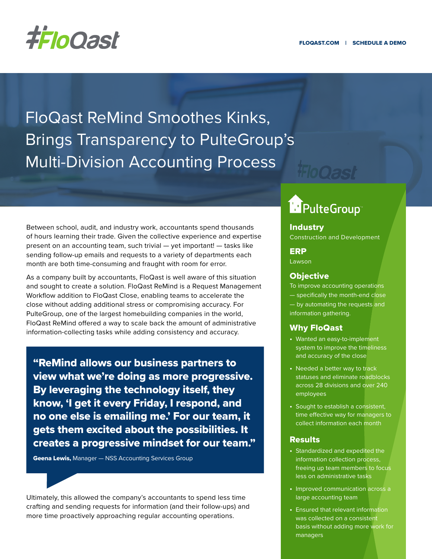

FloQast ReMind Smoothes Kinks, Brings Transparency to PulteGroup's Multi-Division Accounting Process

Between school, audit, and industry work, accountants spend thousands of hours learning their trade. Given the collective experience and expertise present on an accounting team, such trivial — yet important! — tasks like sending follow-up emails and requests to a variety of departments each month are both time-consuming and fraught with room for error.

As a company built by accountants, FloQast is well aware of this situation and sought to create a solution. FloQast ReMind is a Request Management Workflow addition to FloQast Close, enabling teams to accelerate the close without adding additional stress or compromising accuracy. For PulteGroup, one of the largest homebuilding companies in the world, FloQast ReMind offered a way to scale back the amount of administrative information-collecting tasks while adding consistency and accuracy.

"ReMind allows our business partners to view what we're doing as more progressive. By leveraging the technology itself, they know, 'I get it every Friday, I respond, and no one else is emailing me.' For our team, it gets them excited about the possibilities. It creates a progressive mindset for our team."

**Geena Lewis, Manager - NSS Accounting Services Group** 

Ultimately, this allowed the company's accountants to spend less time crafting and sending requests for information (and their follow-ups) and more time proactively approaching regular accounting operations.

# **Department**

#### **Industry** Construction and Development

### ERP

Lawson

## **Objective**

To improve accounting operations — specifically the month-end close — by automating the requests and information gathering.

#### Why FloQast

- **•** Wanted an easy-to-implement system to improve the timeliness and accuracy of the close
- **•** Needed a better way to track statuses and eliminate roadblocks across 28 divisions and over 240 employees
- **•** Sought to establish a consistent, time effective way for managers to collect information each month

#### **Results**

- **•** Standardized and expedited the information collection process, freeing up team members to focus less on administrative tasks
- **•** Improved communication across a large accounting team
- **•** Ensured that relevant information was collected on a consistent basis without adding more work for managers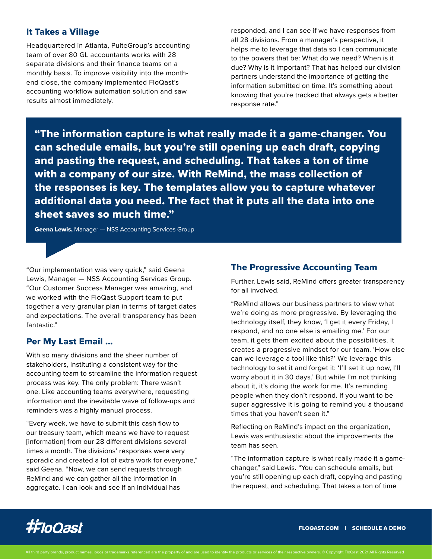## It Takes a Village

Headquartered in Atlanta, PulteGroup's accounting team of over 80 GL accountants works with 28 separate divisions and their finance teams on a monthly basis. To improve visibility into the monthend close, the company implemented FloQast's accounting workflow automation solution and saw results almost immediately.

responded, and I can see if we have responses from all 28 divisions. From a manager's perspective, it helps me to leverage that data so I can communicate to the powers that be: What do we need? When is it due? Why is it important? That has helped our division partners understand the importance of getting the information submitted on time. It's something about knowing that you're tracked that always gets a better response rate."

"The information capture is what really made it a game-changer. You can schedule emails, but you're still opening up each draft, copying and pasting the request, and scheduling. That takes a ton of time with a company of our size. With ReMind, the mass collection of the responses is key. The templates allow you to capture whatever additional data you need. The fact that it puts all the data into one sheet saves so much time."

**Geena Lewis, Manager - NSS Accounting Services Group** 

"Our implementation was very quick," said Geena Lewis, Manager — NSS Accounting Services Group. "Our Customer Success Manager was amazing, and we worked with the FloQast Support team to put together a very granular plan in terms of target dates and expectations. The overall transparency has been fantastic."

## Per My Last Email …

With so many divisions and the sheer number of stakeholders, instituting a consistent way for the accounting team to streamline the information request process was key. The only problem: There wasn't one. Like accounting teams everywhere, requesting information and the inevitable wave of follow-ups and reminders was a highly manual process.

"Every week, we have to submit this cash flow to our treasury team, which means we have to request [information] from our 28 different divisions several times a month. The divisions' responses were very sporadic and created a lot of extra work for everyone," said Geena. "Now, we can send requests through ReMind and we can gather all the information in aggregate. I can look and see if an individual has

## The Progressive Accounting Team

Further, Lewis said, ReMind offers greater transparency for all involved.

"ReMind allows our business partners to view what we're doing as more progressive. By leveraging the technology itself, they know, 'I get it every Friday, I respond, and no one else is emailing me.' For our team, it gets them excited about the possibilities. It creates a progressive mindset for our team. 'How else can we leverage a tool like this?' We leverage this technology to set it and forget it: 'I'll set it up now, I'll worry about it in 30 days.' But while I'm not thinking about it, it's doing the work for me. It's reminding people when they don't respond. If you want to be super aggressive it is going to remind you a thousand times that you haven't seen it."

Reflecting on ReMind's impact on the organization, Lewis was enthusiastic about the improvements the team has seen.

"The information capture is what really made it a gamechanger," said Lewis. "You can schedule emails, but you're still opening up each draft, copying and pasting the request, and scheduling. That takes a ton of time